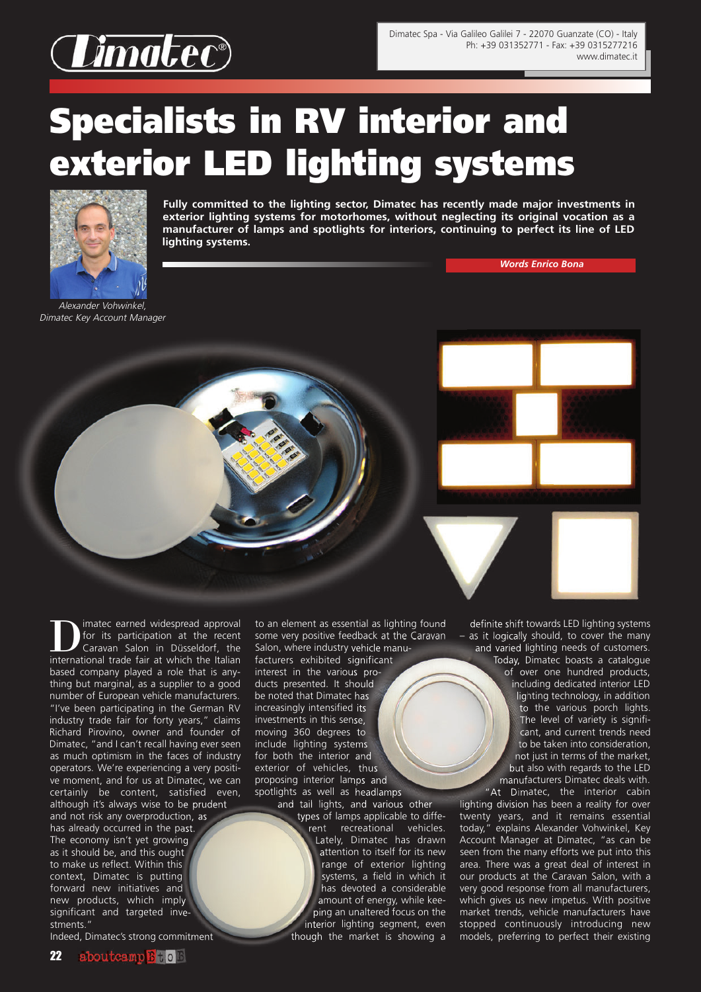

## **Specialists in RV interior and exterior LED lighting systems**



**Fully committed to the lighting sector, Dimatec has recently made major investments in exterior lighting systems for motorhomes, without neglecting its original vocation as a manufacturer of lamps and spotlights for interiors, continuing to perfect its line of LED lighting systems.**

*Words Enrico Bona*

Alexander Vohwinkel, Dimatec Key Account Manager

I imatec earned widespread approval<br>for its participation at the recent<br>Caravan Salon in Düsseldorf, the for its participation at the recent Caravan Salon in Düsseldorf, the international trade fair at which the Italian based company played a role that is anything but marginal, as a supplier to a good number of European vehicle manufacturers. "I've been participating in the German RV industry trade fair for forty years," claims Richard Pirovino, owner and founder of Dimatec, "and I can't recall having ever seen as much optimism in the faces of industry operators. We're experiencing a very positive moment, and for us at Dimatec, we can certainly be content, satisfied even, although it's always wise to be prudent

and not risk any overproduction, as has already occurred in the past. The economy isn't yet growing as it should be, and this ought to make us reflect. Within this context, Dimatec is putting forward new initiatives and new products, which imply significant and targeted investments."

Indeed, Dimatec's strong commitment

to an element as essential as lighting found some very positive feedback at the Caravan Salon, where industry vehicle manufacturers exhibited significant interest in the various products presented. It should be noted that Dimatec has increasingly intensified its investments in this sense, moving 360 degrees to include lighting systems for both the interior and exterior of vehicles, thus proposing interior lamps and spotlights as well as headlamps

and tail lights, and various other types of lamps applicable to diffe-

rent recreational vehicles. Lately, Dimatec has drawn attention to itself for its new range of exterior lighting systems, a field in which it has devoted a considerable amount of energy, while keeping an unaltered focus on the interior lighting segment, even though the market is showing a

definite shift towards LED lighting systems – as it logically should, to cover the many and varied lighting needs of customers. Today, Dimatec boasts a catalogue of over one hundred products, including dedicated interior LED lighting technology, in addition to the various porch lights. The level of variety is significant, and current trends need to be taken into consideration, not just in terms of the market, but also with regards to the LED manufacturers Dimatec deals with.

"At Dimatec, the interior cabin lighting division has been a reality for over twenty years, and it remains essential today," explains Alexander Vohwinkel, Key Account Manager at Dimatec, "as can be seen from the many efforts we put into this area. There was a great deal of interest in our products at the Caravan Salon, with a very good response from all manufacturers, which gives us new impetus. With positive market trends, vehicle manufacturers have stopped continuously introducing new models, preferring to perfect their existing